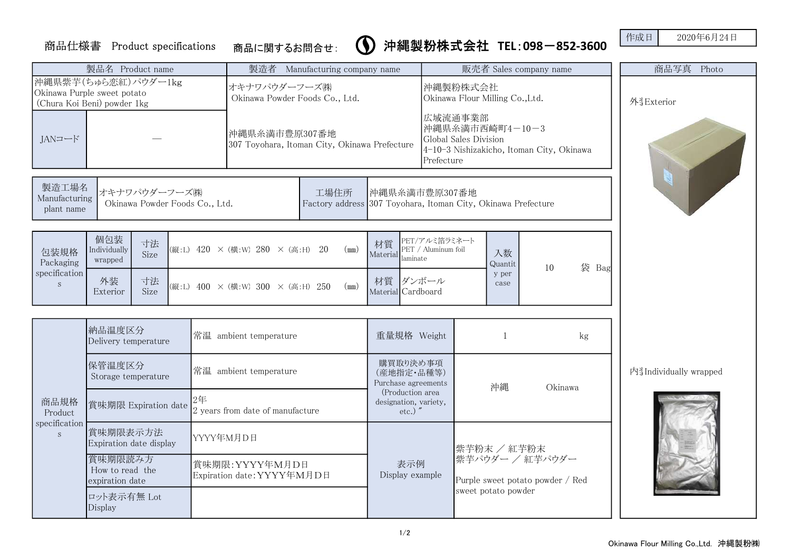## 商品仕様書 Product specifications 作成日 2020年6月24日 商品に関するお問合せ: 沖縄製粉株式会社 TEL:098-852-3600

|                                                                                   |                                      | 製品名 Product name                                                                                                                           | 製造者                                                            | Manufacturing company name                                        |                                                                                                     | 販売者 Sales company name           |                        |  |  |  |
|-----------------------------------------------------------------------------------|--------------------------------------|--------------------------------------------------------------------------------------------------------------------------------------------|----------------------------------------------------------------|-------------------------------------------------------------------|-----------------------------------------------------------------------------------------------------|----------------------------------|------------------------|--|--|--|
| 沖縄県紫芋(ちゅら恋紅)パウダー1kg<br>Okinawa Purple sweet potato<br>(Chura Koi Beni) powder 1kg |                                      |                                                                                                                                            | オキナワパウダーフーズ㈱<br>Okinawa Powder Foods Co., Ltd.                 |                                                                   | 沖縄製粉株式会社<br>Okinawa Flour Milling Co., Ltd.<br>広域流通事業部                                              | 外当Exterior                       |                        |  |  |  |
|                                                                                   | JANコード                               |                                                                                                                                            | 沖縄県糸満市豊原307番地<br>307 Toyohara, Itoman City, Okinawa Prefecture |                                                                   | 沖縄県糸満市西崎町4-10-3<br>Global Sales Division<br>4-10-3 Nishizakicho, Itoman City, Okinawa<br>Prefecture |                                  |                        |  |  |  |
|                                                                                   | 製造工場名<br>Manufacturing<br>plant name | オキナワパウダーフーズ(株)<br>工場住所<br>沖縄県糸満市豊原307番地<br>Okinawa Powder Foods Co., Ltd.<br>Factory address 307 Toyohara, Itoman City, Okinawa Prefecture |                                                                |                                                                   |                                                                                                     |                                  |                        |  |  |  |
|                                                                                   | 包装規格<br>Packaging<br>specification   | 個包装<br>寸法<br>Individually<br>Size<br>wrapped<br>寸法<br>外装                                                                                   | (縦:L) $420 \times$ (横:W) $280 \times$ (高:H) $20$<br>(mm)       | 材質<br>Material laminate<br>材質 ダンボール                               | PET/アルミ箔ラミネート<br>PET / Aluminum foil<br>入数<br>Quantit<br>y per                                      | 袋 Bag<br>10                      |                        |  |  |  |
|                                                                                   | $\,$ S                               | Exterior<br>Size                                                                                                                           | (mm)<br>(縦:L) 400 × (横:W) 300 × (高:H) 250                      | Material Cardboard                                                | case                                                                                                |                                  |                        |  |  |  |
|                                                                                   |                                      | 納品温度区分<br>Delivery temperature                                                                                                             | 常温 ambient temperature                                         | 重量規格 Weight                                                       | $\mathbf{1}$                                                                                        | kg                               |                        |  |  |  |
|                                                                                   |                                      | 保管温度区分<br>Storage temperature                                                                                                              | 常温 ambient temperature                                         | 購買取り決め事項<br>(産地指定·品種等)<br>Purchase agreements<br>(Production area | 沖縄                                                                                                  | Okinawa                          | 内引Individually wrapped |  |  |  |
|                                                                                   | 商品規格<br>Product<br>specification     | 賞味期限 Expiration date                                                                                                                       | 2年<br>2 years from date of manufacture                         | designation, variety,<br>$etc.)$ "                                |                                                                                                     |                                  |                        |  |  |  |
|                                                                                   | S                                    | 賞味期限表示方法<br>Expiration date display                                                                                                        | YYYY年M月D日                                                      |                                                                   | 紫芋粉末 / 紅芋粉末                                                                                         |                                  |                        |  |  |  |
|                                                                                   |                                      | 賞味期限読み方<br>How to read the<br>expiration date                                                                                              | 賞味期限: YYYY年M月D日<br>Expiration date: YYYY年M月D日                  | 表示例<br>Display example                                            | 紫芋パウダー / 紅芋パウダー<br>sweet potato powder                                                              | Purple sweet potato powder / Red |                        |  |  |  |
|                                                                                   |                                      | ロット表示有無 Lot<br>Display                                                                                                                     |                                                                |                                                                   |                                                                                                     |                                  |                        |  |  |  |